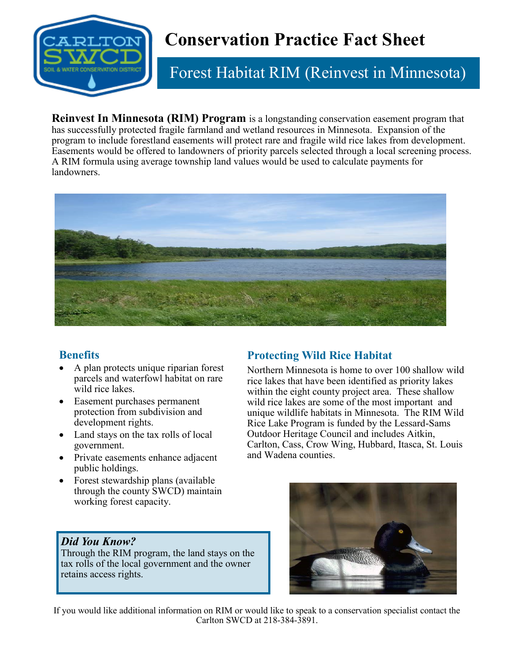

# **Conservation Practice Fact Sheet**

## Forest Habitat RIM (Reinvest in Minnesota)

**Reinvest In Minnesota (RIM) Program** is a longstanding conservation easement program that has successfully protected fragile farmland and wetland resources in Minnesota. Expansion of the program to include forestland easements will protect rare and fragile wild rice lakes from development. Easements would be offered to landowners of priority parcels selected through a local screening process. A RIM formula using average township land values would be used to calculate payments for landowners.



#### **Benefits**

- A plan protects unique riparian forest parcels and waterfowl habitat on rare wild rice lakes.
- Easement purchases permanent protection from subdivision and development rights.
- Land stays on the tax rolls of local government.
- Private easements enhance adjacent public holdings.
- Forest stewardship plans (available through the county SWCD) maintain working forest capacity.

#### *Did You Know?*

Through the RIM program, the land stays on the tax rolls of the local government and the owner retains access rights.

#### **Protecting Wild Rice Habitat**

Northern Minnesota is home to over 100 shallow wild rice lakes that have been identified as priority lakes within the eight county project area. These shallow wild rice lakes are some of the most important and unique wildlife habitats in Minnesota. The RIM Wild Rice Lake Program is funded by the Lessard-Sams Outdoor Heritage Council and includes Aitkin, Carlton, Cass, Crow Wing, Hubbard, Itasca, St. Louis and Wadena counties.



If you would like additional information on RIM or would like to speak to a conservation specialist contact the Carlton SWCD at 218-384-3891.